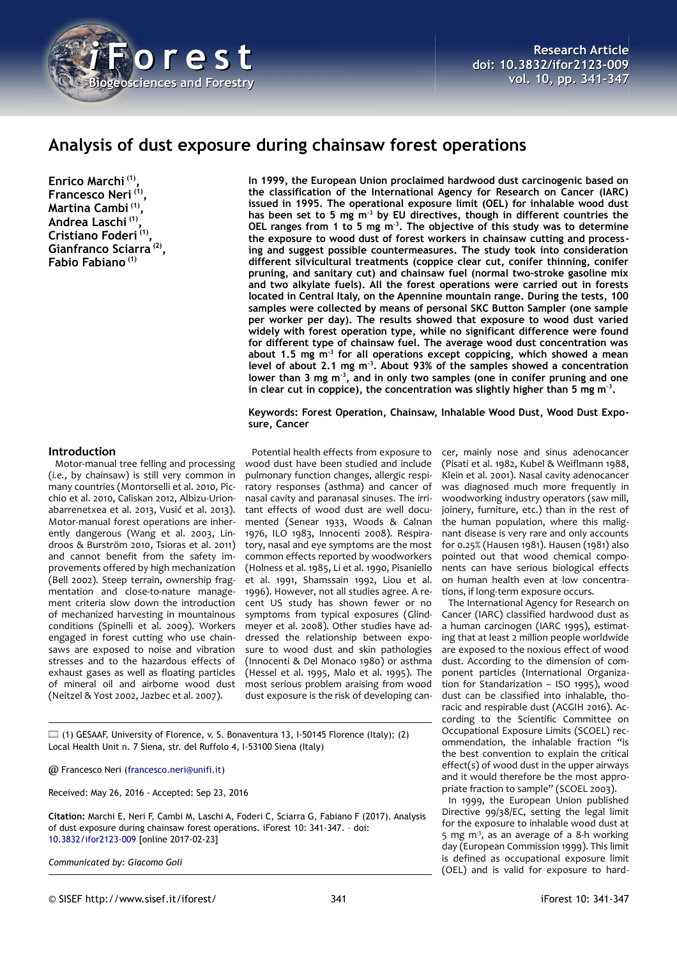

# **Analysis of dust exposure during chainsaw forest operations**

**Enrico Marchi (1) , Francesco Neri (1) , Martina Cambi (1) , Andrea Laschi (1) , Cristiano Foderi (1) , Gianfranco Sciarra (2) , Fabio Fabiano (1)**

**In 1999, the European Union proclaimed hardwood dust carcinogenic based on the classification of the International Agency for Research on Cancer (IARC) issued in 1995. The operational exposure limit (OEL) for inhalable wood dust has been set to 5 mg m-3 by EU directives, though in different countries the OEL ranges from 1 to 5 mg m-3 . The objective of this study was to determine the exposure to wood dust of forest workers in chainsaw cutting and processing and suggest possible countermeasures. The study took into consideration different silvicultural treatments (coppice clear cut, conifer thinning, conifer pruning, and sanitary cut) and chainsaw fuel (normal two-stroke gasoline mix and two alkylate fuels). All the forest operations were carried out in forests located in Central Italy, on the Apennine mountain range. During the tests, 100 samples were collected by means of personal SKC Button Sampler (one sample per worker per day). The results showed that exposure to wood dust varied widely with forest operation type, while no significant difference were found for different type of chainsaw fuel. The average wood dust concentration was about 1.5 mg m-3 for all operations except coppicing, which showed a mean level of about 2.1 mg m-3. About 93% of the samples showed a concentration lower than 3 mg m-3, and in only two samples (one in conifer pruning and one in clear cut in coppice), the concentration was slightly higher than 5 mg m-3 .**

## **Keywords: Forest Operation, Chainsaw, Inhalable Wood Dust, Wood Dust Exposure, Cancer**

## **Introduction**

Motor-manual tree felling and processing (*i.e.*, by chainsaw) is still very common in many countries (Montorselli et al. 2010, Picchio et al. 2010, Caliskan 2012, Albizu-Urionabarrenetxea et al. 2013, Vusić et al. 2013). Motor-manual forest operations are inherently dangerous (Wang et al. 2003, Lindroos & Burström 2010, Tsioras et al. 2011) and cannot benefit from the safety improvements offered by high mechanization (Bell 2002). Steep terrain, ownership fragmentation and close-to-nature management criteria slow down the introduction of mechanized harvesting in mountainous conditions (Spinelli et al. 2009). Workers engaged in forest cutting who use chainsaws are exposed to noise and vibration stresses and to the hazardous effects of exhaust gases as well as floating particles of mineral oil and airborne wood dust (Neitzel & Yost 2002, Jazbec et al. 2007).

Potential health effects from exposure to wood dust have been studied and include pulmonary function changes, allergic respiratory responses (asthma) and cancer of nasal cavity and paranasal sinuses. The irritant effects of wood dust are well documented (Senear 1933, Woods & Calnan 1976, ILO 1983, Innocenti 2008). Respiratory, nasal and eye symptoms are the most common effects reported by woodworkers (Holness et al. 1985, Li et al. 1990, Pisaniello et al. 1991, Shamssain 1992, Liou et al. 1996). However, not all studies agree. A recent US study has shown fewer or no symptoms from typical exposures (Glindmeyer et al. 2008). Other studies have addressed the relationship between exposure to wood dust and skin pathologies (Innocenti & Del Monaco 1980) or asthma (Hessel et al. 1995, Malo et al. 1995). The most serious problem araising from wood dust exposure is the risk of developing can-

pointed out that wood chemical components can have serious biological effects on human health even at low concentrations, if long-term exposure occurs. The International Agency for Research on Cancer (IARC) classified hardwood dust as a human carcinogen (IARC 1995), estimat-

ing that at least 2 million people worldwide are exposed to the noxious effect of wood dust. According to the dimension of component particles (International Organization for Standarization – ISO 1995), wood dust can be classified into inhalable, thoracic and respirable dust (ACGIH 2016). According to the Scientific Committee on Occupational Exposure Limits (SCOEL) recommendation, the inhalable fraction "is the best convention to explain the critical effect(s) of wood dust in the upper airways and it would therefore be the most appropriate fraction to sample" (SCOEL 2003).

cer, mainly nose and sinus adenocancer (Pisati et al. 1982, Kubel & Weiflmann 1988, Klein et al. 2001). Nasal cavity adenocancer was diagnosed much more frequently in woodworking industry operators (saw mill, joinery, furniture, etc.) than in the rest of the human population, where this malignant disease is very rare and only accounts for 0.25% (Hausen 1981). Hausen (1981) also

In 1999, the European Union published Directive 99/38/EC, setting the legal limit for the exposure to inhalable wood dust at 5 mg m<sup>3</sup>, as an average of a 8-h working day (European Commission 1999). This limit is defined as occupational exposure limit (OEL) and is valid for exposure to hard-

(1) GESAAF, University of Florence, v. S. Bonaventura 13, I-50145 Florence (Italy); (2) Local Health Unit n. 7 Siena, str. del Ruffolo 4, I-53100 Siena (Italy)

@ Francesco Neri [\(francesco.neri@unifi.it\)](mailto:francesco.neri@unifi.it)

Received: May 26, 2016 - Accepted: Sep 23, 2016

**Citation:** Marchi E, Neri F, Cambi M, Laschi A, Foderi C, Sciarra G, Fabiano F (2017). Analysis of dust exposure during chainsaw forest operations. iForest 10: 341-347. – doi[:](http://www.sisef.it/iforest/contents/?id=ifor2123-009) [10.3832/ifor2123-009](http://www.sisef.it/iforest/contents/?id=ifor2123-009) [online 2017-02-23]

*Communicated by: Giacomo Goli*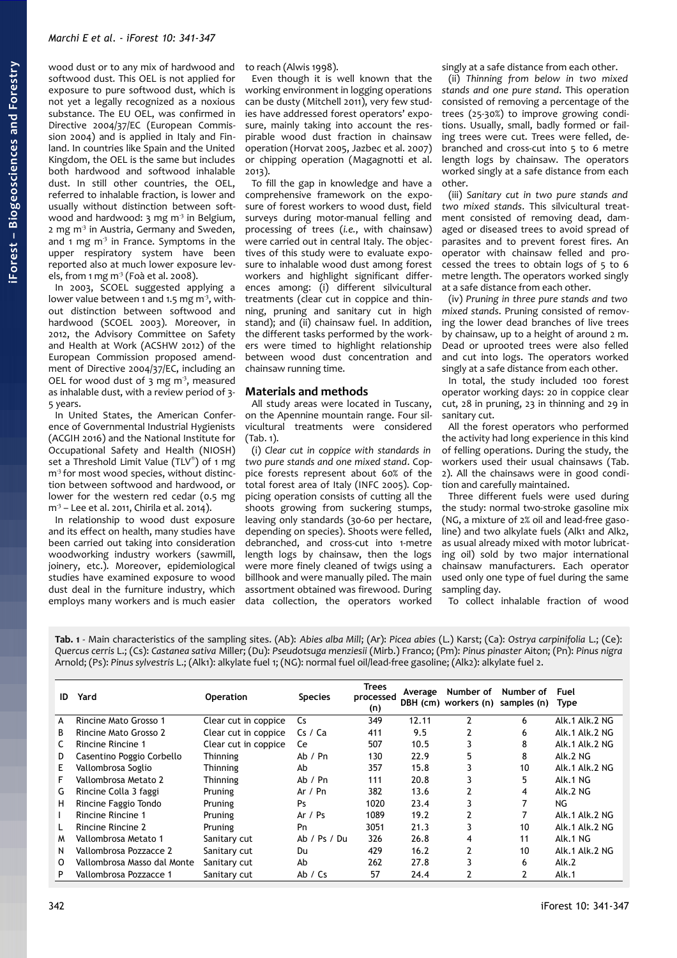wood dust or to any mix of hardwood and softwood dust. This OEL is not applied for exposure to pure softwood dust, which is not yet a legally recognized as a noxious substance. The EU OEL, was confirmed in Directive 2004/37/EC (European Commission 2004) and is applied in Italy and Finland. In countries like Spain and the United Kingdom, the OEL is the same but includes both hardwood and softwood inhalable dust. In still other countries, the OEL, referred to inhalable fraction, is lower and usually without distinction between softwood and hardwood:  $3 \text{ mg m}^3$  in Belgium, 2 mg m<sup>3</sup> in Austria, Germany and Sweden, and  $1 \text{ mg m}^3$  in France. Symptoms in the upper respiratory system have been reported also at much lower exposure levels, from 1 mg m<sup>3</sup> (Foà et al. 2008).

In 2003, SCOEL suggested applying a lower value between 1 and 1.5 mg  $m<sup>3</sup>$ , without distinction between softwood and hardwood (SCOEL 2003). Moreover, in 2012, the Advisory Committee on Safety and Health at Work (ACSHW 2012) of the European Commission proposed amendment of Directive 2004/37/EC, including an OEL for wood dust of  $3$  mg m<sup>3</sup>, measured as inhalable dust, with a review period of 3- 5 years.

In United States, the American Conference of Governmental Industrial Hygienists (ACGIH 2016) and the National Institute for Occupational Safety and Health (NIOSH) set a Threshold Limit Value (TLV®) of 1 mg  $m<sup>3</sup>$  for most wood species, without distinction between softwood and hardwood, or lower for the western red cedar (0.5 mg m<sup>3</sup> – Lee et al. 2011, Chirila et al. 2014).

In relationship to wood dust exposure and its effect on health, many studies have been carried out taking into consideration woodworking industry workers (sawmill, joinery, etc.). Moreover, epidemiological studies have examined exposure to wood dust deal in the furniture industry, which employs many workers and is much easier to reach (Alwis 1998).

Even though it is well known that the working environment in logging operations can be dusty (Mitchell 2011), very few studies have addressed forest operators' exposure, mainly taking into account the respirable wood dust fraction in chainsaw operation (Horvat 2005, Jazbec et al. 2007) or chipping operation (Magagnotti et al. 2013).

To fill the gap in knowledge and have a comprehensive framework on the exposure of forest workers to wood dust, field surveys during motor-manual felling and processing of trees (*i.e.*, with chainsaw) were carried out in central Italy. The objectives of this study were to evaluate exposure to inhalable wood dust among forest workers and highlight significant differences among: (i) different silvicultural treatments (clear cut in coppice and thinning, pruning and sanitary cut in high stand); and (ii) chainsaw fuel. In addition, the different tasks performed by the workers were timed to highlight relationship between wood dust concentration and chainsaw running time.

## **Materials and methods**

All study areas were located in Tuscany, on the Apennine mountain range. Four silvicultural treatments were considered  $(Tab. 1)$ .

(i) *Clear cut in coppice with standards in two pure stands and one mixed stand*. Coppice forests represent about 60% of the total forest area of Italy (INFC 2005). Coppicing operation consists of cutting all the shoots growing from suckering stumps, leaving only standards (30-60 per hectare, depending on species). Shoots were felled, debranched, and cross-cut into 1-metre length logs by chainsaw, then the logs were more finely cleaned of twigs using a billhook and were manually piled. The main assortment obtained was firewood. During data collection, the operators worked

singly at a safe distance from each other.

(ii) *Thinning from below in two mixed stands and one pure stand*. This operation consisted of removing a percentage of the trees (25-30%) to improve growing conditions. Usually, small, badly formed or failing trees were cut. Trees were felled, debranched and cross-cut into 5 to 6 metre length logs by chainsaw. The operators worked singly at a safe distance from each other.

(iii) *Sanitary cut in two pure stands and two mixed stands*. This silvicultural treatment consisted of removing dead, damaged or diseased trees to avoid spread of parasites and to prevent forest fires. An operator with chainsaw felled and processed the trees to obtain logs of 5 to 6 metre length. The operators worked singly at a safe distance from each other.

(iv) *Pruning in three pure stands and two mixed stands*. Pruning consisted of removing the lower dead branches of live trees by chainsaw, up to a height of around 2 m. Dead or uprooted trees were also felled and cut into logs. The operators worked singly at a safe distance from each other.

In total, the study included 100 forest operator working days: 20 in coppice clear cut, 28 in pruning, 23 in thinning and 29 in sanitary cut.

All the forest operators who performed the activity had long experience in this kind of felling operations. During the study, the workers used their usual chainsaws [\(Tab.](#page-2-0) [2\)](#page-2-0). All the chainsaws were in good condition and carefully maintained.

Three different fuels were used during the study: normal two-stroke gasoline mix (NG, a mixture of 2% oil and lead-free gasoline) and two alkylate fuels (Alk1 and Alk2, as usual already mixed with motor lubricating oil) sold by two major international chainsaw manufacturers. Each operator used only one type of fuel during the same sampling day.

To collect inhalable fraction of wood

<span id="page-1-0"></span>**Tab. 1** - Main characteristics of the sampling sites. (Ab): *Abies alba Mill*; (Ar): *Picea abies* (L.) Karst; (Ca): *Ostrya carpinifolia* L.; (Ce): *Quercus cerris* L.; (Cs): *Castanea sativa* Miller; (Du): *Pseudotsuga menziesii* (Mirb.) Franco; (Pm): *Pinus pinaster* Aiton; (Pn): *Pinus nigra* Arnold; (Ps): *Pinus sylvestris* L.; (Alk1): alkylate fuel 1; (NG): normal fuel oil/lead-free gasoline; (Alk2): alkylate fuel 2.

| ID | Yard                        | <b>Operation</b>     | <b>Species</b> | <b>Trees</b><br>processed<br>(n) | Average | Number of<br>DBH (cm) workers (n) | Number of<br>samples (n) | Fuel<br><b>Type</b> |
|----|-----------------------------|----------------------|----------------|----------------------------------|---------|-----------------------------------|--------------------------|---------------------|
| A  | Rincine Mato Grosso 1       | Clear cut in coppice | Cs.            | 349                              | 12.11   | $\overline{2}$                    | 6                        | Alk.1 Alk.2 NG      |
| B  | Rincine Mato Grosso 2       | Clear cut in coppice | Cs / Ca        | 411                              | 9.5     | 2                                 | 6                        | Alk.1 Alk.2 NG      |
| C  | Rincine Rincine 1           | Clear cut in coppice | Ce             | 507                              | 10.5    |                                   | 8                        | Alk.1 Alk.2 NG      |
| D  | Casentino Poggio Corbello   | Thinning             | Ab / Pn        | 130                              | 22.9    | 5                                 | 8                        | Alk.2 NG            |
| E. | Vallombrosa Soglio          | <b>Thinning</b>      | Ab             | 357                              | 15.8    |                                   | 10                       | Alk.1 Alk.2 NG      |
| F  | Vallombrosa Metato 2        | <b>Thinning</b>      | Ab / Pn        | 111                              | 20.8    |                                   | 5                        | Alk.1 NG            |
| G  | Rincine Colla 3 faggi       | Pruning              | Ar $/$ Pn      | 382                              | 13.6    |                                   | 4                        | Alk.2 NG            |
| н  | Rincine Faggio Tondo        | Pruning              | Ps             | 1020                             | 23.4    |                                   | 7                        | NG                  |
|    | Rincine Rincine 1           | Pruning              | Ar $/$ Ps      | 1089                             | 19.2    | 2                                 | 7                        | Alk.1 Alk.2 NG      |
|    | Rincine Rincine 2           | Pruning              | Pn             | 3051                             | 21.3    |                                   | 10                       | Alk.1 Alk.2 NG      |
| M  | Vallombrosa Metato 1        | Sanitary cut         | Ab / Ps / Du   | 326                              | 26.8    | 4                                 | 11                       | Alk.1 NG            |
| N  | Vallombrosa Pozzacce 2      | Sanitary cut         | Du             | 429                              | 16.2    |                                   | 10                       | Alk.1 Alk.2 NG      |
| 0  | Vallombrosa Masso dal Monte | Sanitary cut         | Ab             | 262                              | 27.8    |                                   | 6                        | Alk.2               |
| P  | Vallombrosa Pozzacce 1      | Sanitary cut         | Ab / Cs        | 57                               | 24.4    |                                   |                          | Alk.1               |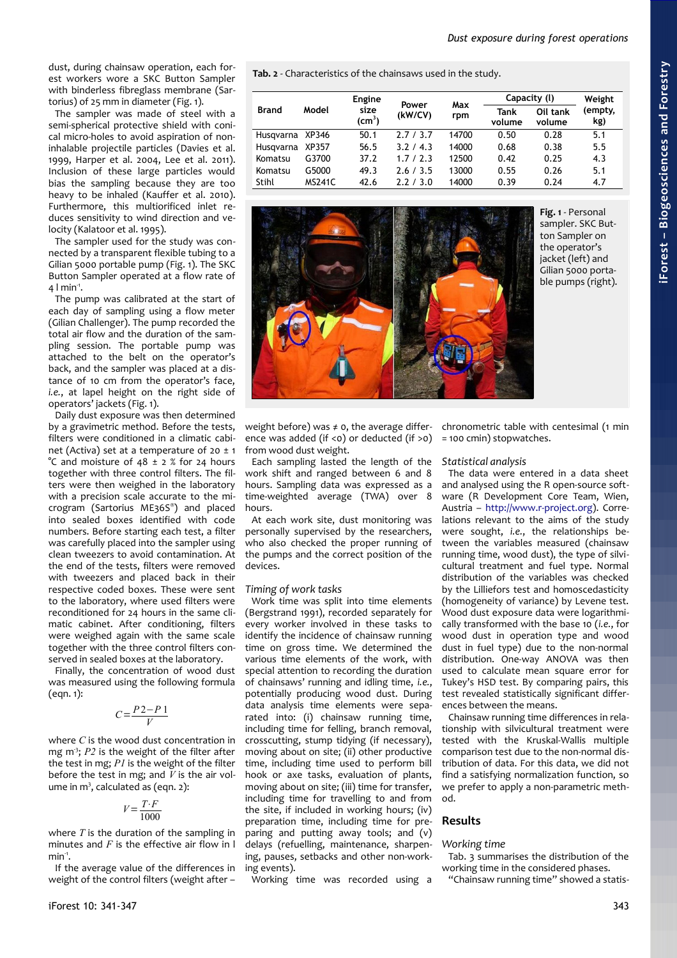dust, during chainsaw operation, each forest workers wore a SKC Button Sampler with binderless fibreglass membrane (Sartorius) of 25 mm in diameter [\(Fig. 1\)](#page-2-1).

The sampler was made of steel with a semi-spherical protective shield with conical micro-holes to avoid aspiration of noninhalable projectile particles (Davies et al. 1999, Harper et al. 2004, Lee et al. 2011). Inclusion of these large particles would bias the sampling because they are too heavy to be inhaled (Kauffer et al. 2010). Furthermore, this multiorificed inlet reduces sensitivity to wind direction and velocity (Kalatoor et al. 1995).

The sampler used for the study was connected by a transparent flexible tubing to a Gilian 5000 portable pump [\(Fig. 1\)](#page-2-1). The SKC Button Sampler operated at a flow rate of  $4$  l min<sup>-1</sup>.

The pump was calibrated at the start of each day of sampling using a flow meter (Gilian Challenger). The pump recorded the total air flow and the duration of the sampling session. The portable pump was attached to the belt on the operator's back, and the sampler was placed at a distance of 10 cm from the operator's face, *i.e.*, at lapel height on the right side of operators' jackets [\(Fig. 1\)](#page-2-1).

Daily dust exposure was then determined by a gravimetric method. Before the tests, filters were conditioned in a climatic cabinet (Activa) set at a temperature of 20  $\pm$  1 °C and moisture of  $48 \pm 2$  % for 24 hours together with three control filters. The filters were then weighed in the laboratory with a precision scale accurate to the microgram (Sartorius ME36S® ) and placed into sealed boxes identified with code numbers. Before starting each test, a filter was carefully placed into the sampler using clean tweezers to avoid contamination. At the end of the tests, filters were removed with tweezers and placed back in their respective coded boxes. These were sent to the laboratory, where used filters were reconditioned for 24 hours in the same climatic cabinet. After conditioning, filters were weighed again with the same scale together with the three control filters conserved in sealed boxes at the laboratory.

Finally, the concentration of wood dust was measured using the following formula  $(ean. 1):$ 

$$
C = \frac{P2 - P1}{V}
$$

where *C* is the wood dust concentration in mg m<sup>3</sup>; *P2* is the weight of the filter after the test in mg; *P1* is the weight of the filter before the test in mg; and *V* is the air volume in m<sup>3</sup>, calculated as (eqn. 2):

$$
V = \frac{T \cdot F}{1000}
$$

where *T* is the duration of the sampling in minutes and *F* is the effective air flow in l  $min<sup>1</sup>$ .

If the average value of the differences in weight of the control filters (weight after –

<span id="page-2-0"></span>**Tab. 2** - Characteristics of the chainsaws used in the study.

|                 | Model         | <b>Engine</b>             | Power<br>(kW/CV) | Max   | Capacity (I)   | Weight             |                |
|-----------------|---------------|---------------------------|------------------|-------|----------------|--------------------|----------------|
| <b>Brand</b>    |               | size<br>$\textsf{(cm}^3)$ |                  | rpm   | Tank<br>volume | Oil tank<br>volume | (empty,<br>kg) |
| Husqvarna XP346 |               | 50.1                      | 2.7/3.7          | 14700 | 0.50           | 0.28               | 5.1            |
| Husgvarna       | XP357         | 56.5                      | 3.2 / 4.3        | 14000 | 0.68           | 0.38               | 5.5            |
| Komatsu         | G3700         | 37.2                      | 1.7/2.3          | 12500 | 0.42           | 0.25               | 4.3            |
| Komatsu         | G5000         | 49.3                      | 2.6 / 3.5        | 13000 | 0.55           | 0.26               | 5.1            |
| Stihl           | <b>MS241C</b> | 42.6                      | 2.2/3.0          | 14000 | 0.39           | 0.24               | 4.7            |



<span id="page-2-1"></span>**Fig. 1** - Personal sampler. SKC Button Sampler on the operator's jacket (left) and Gilian 5000 portable pumps (right).

weight before) was ≠ 0, the average differ- chronometric table with centesimal (1 min ence was added (if <0) or deducted (if >0) = 100 cmin) stopwatches. from wood dust weight.

Each sampling lasted the length of the work shift and ranged between 6 and 8 hours. Sampling data was expressed as a time-weighted average (TWA) over 8 hours.

At each work site, dust monitoring was personally supervised by the researchers, who also checked the proper running of the pumps and the correct position of the devices.

## *Timing of work tasks*

Work time was split into time elements (Bergstrand 1991), recorded separately for every worker involved in these tasks to identify the incidence of chainsaw running time on gross time. We determined the various time elements of the work, with special attention to recording the duration of chainsaws' running and idling time, *i.e.*, potentially producing wood dust. During data analysis time elements were separated into: (i) chainsaw running time, including time for felling, branch removal, crosscutting, stump tidying (if necessary), moving about on site; (ii) other productive time, including time used to perform bill hook or axe tasks, evaluation of plants, moving about on site; (iii) time for transfer, including time for travelling to and from the site, if included in working hours; (iv) preparation time, including time for preparing and putting away tools; and (v) delays (refuelling, maintenance, sharpening, pauses, setbacks and other non-working events).

Working time was recorded using a

#### *Statistical analysis*

The data were entered in a data sheet and analysed using the R open-source software (R Development Core Team, Wien, Austria – [http://www.r-project.org\)](http://www.r-project.org/). Correlations relevant to the aims of the study were sought, *i.e.*, the relationships between the variables measured (chainsaw running time, wood dust), the type of silvicultural treatment and fuel type. Normal distribution of the variables was checked by the Lilliefors test and homoscedasticity (homogeneity of variance) by Levene test. Wood dust exposure data were logarithmically transformed with the base 10 (*i.e.*, for wood dust in operation type and wood dust in fuel type) due to the non-normal distribution. One-way ANOVA was then used to calculate mean square error for Tukey's HSD test. By comparing pairs, this test revealed statistically significant differences between the means.

Chainsaw running time differences in relationship with silvicultural treatment were tested with the Kruskal-Wallis multiple comparison test due to the non-normal distribution of data. For this data, we did not find a satisfying normalization function, so we prefer to apply a non-parametric method.

## **Results**

### *Working time*

[Tab. 3](#page-3-0) summarises the distribution of the working time in the considered phases.

"Chainsaw running time" showed a statis-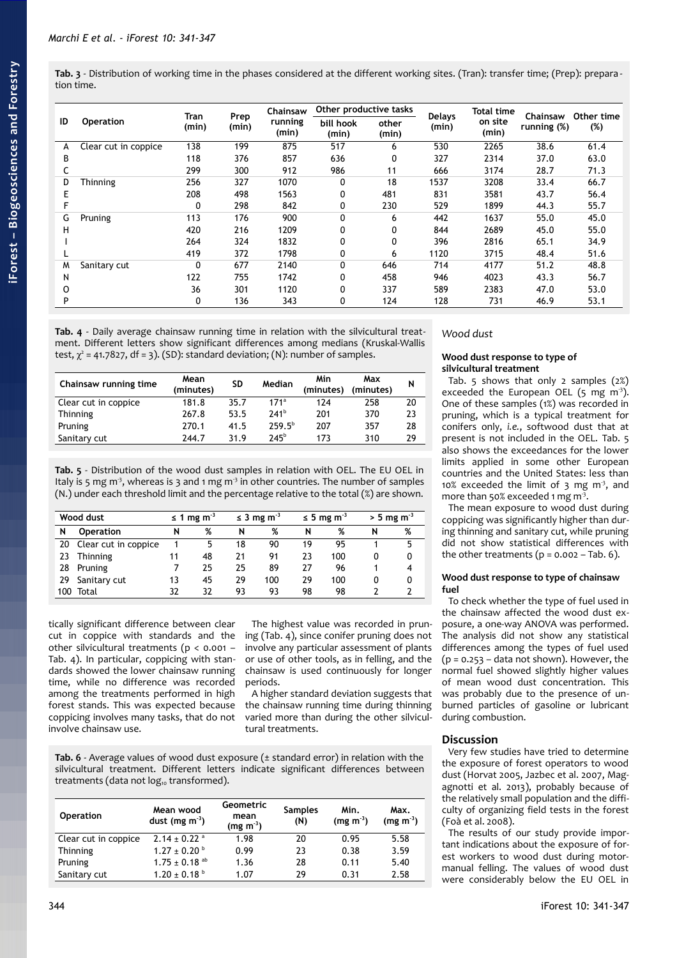<span id="page-3-0"></span>**Tab. 3** - Distribution of working time in the phases considered at the different working sites. (Tran): transfer time; (Prep): prepara tion time.

|    | <b>Operation</b>     |               |               | Chainsaw         | Other productive tasks |                |                        | <b>Total time</b> |                         | Other time |
|----|----------------------|---------------|---------------|------------------|------------------------|----------------|------------------------|-------------------|-------------------------|------------|
| ID |                      | Tran<br>(min) | Prep<br>(min) | running<br>(min) | bill hook<br>(min)     | other<br>(min) | <b>Delays</b><br>(min) | on site<br>(min)  | Chainsaw<br>running (%) | (%)        |
| А  | Clear cut in coppice | 138           | 199           | 875              | 517                    | 6              | 530                    | 2265              | 38.6                    | 61.4       |
| В  |                      | 118           | 376           | 857              | 636                    | 0              | 327                    | 2314              | 37.0                    | 63.0       |
|    |                      | 299           | 300           | 912              | 986                    | 11             | 666                    | 3174              | 28.7                    | 71.3       |
| D  | <b>Thinning</b>      | 256           | 327           | 1070             | 0                      | 18             | 1537                   | 3208              | 33.4                    | 66.7       |
|    |                      | 208           | 498           | 1563             | 0                      | 481            | 831                    | 3581              | 43.7                    | 56.4       |
|    |                      | 0             | 298           | 842              | 0                      | 230            | 529                    | 1899              | 44.3                    | 55.7       |
| G  | Pruning              | 113           | 176           | 900              | $\mathbf{0}$           | 6              | 442                    | 1637              | 55.0                    | 45.0       |
| н  |                      | 420           | 216           | 1209             | 0                      | 0              | 844                    | 2689              | 45.0                    | 55.0       |
|    |                      | 264           | 324           | 1832             | 0                      | 0              | 396                    | 2816              | 65.1                    | 34.9       |
|    |                      | 419           | 372           | 1798             | 0                      | 6              | 1120                   | 3715              | 48.4                    | 51.6       |
| M  | Sanitary cut         |               | 677           | 2140             | $\Omega$               | 646            | 714                    | 4177              | 51.2                    | 48.8       |
| N  |                      | 122           | 755           | 1742             | 0                      | 458            | 946                    | 4023              | 43.3                    | 56.7       |
| 0  |                      | 36            | 301           | 1120             | 0                      | 337            | 589                    | 2383              | 47.0                    | 53.0       |
| P  |                      | 0             | 136           | 343              | 0                      | 124            | 128                    | 731               | 46.9                    | 53.1       |

<span id="page-3-3"></span>**Tab. 4** - Daily average chainsaw running time in relation with the silvicultural treatment. Different letters show significant differences among medians (Kruskal-Wallis test,  $\chi^2$  = 41.7827, df = 3). (SD): standard deviation; (N): number of samples.

| Chainsaw running time | Mean<br>(minutes) | <b>SD</b> | Median           | Min<br>(minutes) | Max<br>(minutes) | N  |
|-----------------------|-------------------|-----------|------------------|------------------|------------------|----|
| Clear cut in coppice  | 181.8             | 35.7      | 171 <sup>a</sup> | 174              | 258              | 20 |
| Thinning              | 267.8             | 53.5      | 741 <sup>b</sup> | 201              | 370              | 23 |
| Pruning               | 270.1             | 41.5      | $259.5^{b}$      | 207              | 357              | 28 |
| Sanitary cut          | 244.7             | 31.9      | 745 <sup>b</sup> | 173              | 310              | 29 |

<span id="page-3-2"></span>**Tab. 5** - Distribution of the wood dust samples in relation with OEL. The EU OEL in Italy is 5 mg  $m^3$ , whereas is 3 and 1 mg  $m^3$  in other countries. The number of samples (N.) under each threshold limit and the percentage relative to the total (%) are shown.

| Wood dust |                      | $\leq$ 1 mg m <sup>-3</sup> |    | $\leq$ 3 mg m <sup>-3</sup> |     | $\leq$ 5 mg m <sup>-3</sup> |     | $> 5$ mg m <sup>-3</sup> |   |
|-----------|----------------------|-----------------------------|----|-----------------------------|-----|-----------------------------|-----|--------------------------|---|
| N         | <b>Operation</b>     | N                           | %  | N                           | %   | N                           | %   | N                        | % |
| 20        | Clear cut in coppice |                             | 5  | 18                          | 90  | 19                          | 95  |                          | 5 |
| 23        | Thinning             | 11                          | 48 | 21                          | 91  | 23                          | 100 |                          | 0 |
| 28        | Pruning              |                             | 25 | 25                          | 89  | 27                          | 96  |                          |   |
| 29.       | Sanitary cut         | 13                          | 45 | 29                          | 100 | 29                          | 100 |                          | 0 |
| 100       | Total                | 32                          | 32 | 93                          | 93  | 98                          | 98  |                          |   |

tically significant difference between clear cut in coppice with standards and the other silvicultural treatments (p < 0.001 – [Tab. 4\)](#page-3-3). In particular, coppicing with standards showed the lower chainsaw running time, while no difference was recorded among the treatments performed in high forest stands. This was expected because coppicing involves many tasks, that do not involve chainsaw use.

The highest value was recorded in pruning [\(Tab. 4\)](#page-3-3), since conifer pruning does not involve any particular assessment of plants or use of other tools, as in felling, and the chainsaw is used continuously for longer periods.

A higher standard deviation suggests that the chainsaw running time during thinning varied more than during the other silvicultural treatments.

<span id="page-3-1"></span>**Tab. 6** - Average values of wood dust exposure (± standard error) in relation with the silvicultural treatment. Different letters indicate significant differences between treatments (data not  $log_{10}$  transformed).

| <b>Operation</b>     | Mean wood<br>dust (mg $m^{-3}$ ) | Geometric<br>mean<br>$(mg m-3)$ | <b>Samples</b><br>(N) | Min.<br>$(mg m^{-3})$ | Max.<br>$(mq m-3)$ |
|----------------------|----------------------------------|---------------------------------|-----------------------|-----------------------|--------------------|
| Clear cut in coppice | $2.14 \pm 0.22$ <sup>a</sup>     | 1.98                            | 20                    | 0.95                  | 5.58               |
| Thinning             | $1.27 \pm 0.20^{\circ}$          | 0.99                            | 23                    | 0.38                  | 3.59               |
| Pruning              | $1.75 \pm 0.18$ <sup>ab</sup>    | 1.36                            | 28                    | 0.11                  | 5.40               |
| Sanitary cut         | $1.20 \pm 0.18^{\text{ b}}$      | 1.07                            | 29                    | 0.31                  | 2.58               |

## *Wood dust*

### **Wood dust response to type of silvicultural treatment**

[Tab. 5](#page-3-2) shows that only 2 samples (2%) exceeded the European OEL  $(5 \text{ mg } \text{m}^3)$ . One of these samples (1%) was recorded in pruning, which is a typical treatment for conifers only, *i.e.*, softwood dust that at present is not included in the OEL. [Tab. 5](#page-3-2) also shows the exceedances for the lower limits applied in some other European countries and the United States: less than 10% exceeded the limit of  $3 \text{ mg m}^3$ , and more than 50% exceeded 1 mg m<sup>3</sup>.

The mean exposure to wood dust during coppicing was significantly higher than during thinning and sanitary cut, while pruning did not show statistical differences with the other treatments  $(p = 0.002 - Tab. 6)$  $(p = 0.002 - Tab. 6)$ .

## **Wood dust response to type of chainsaw fuel**

To check whether the type of fuel used in the chainsaw affected the wood dust exposure, a one-way ANOVA was performed. The analysis did not show any statistical differences among the types of fuel used  $(p = 0.253 - data not shown)$ . However, the normal fuel showed slightly higher values of mean wood dust concentration. This was probably due to the presence of unburned particles of gasoline or lubricant during combustion.

## **Discussion**

Very few studies have tried to determine the exposure of forest operators to wood dust (Horvat 2005, Jazbec et al. 2007, Magagnotti et al. 2013), probably because of the relatively small population and the difficulty of organizing field tests in the forest (Foà et al. 2008).

The results of our study provide important indications about the exposure of forest workers to wood dust during motormanual felling. The values of wood dust were considerably below the EU OEL in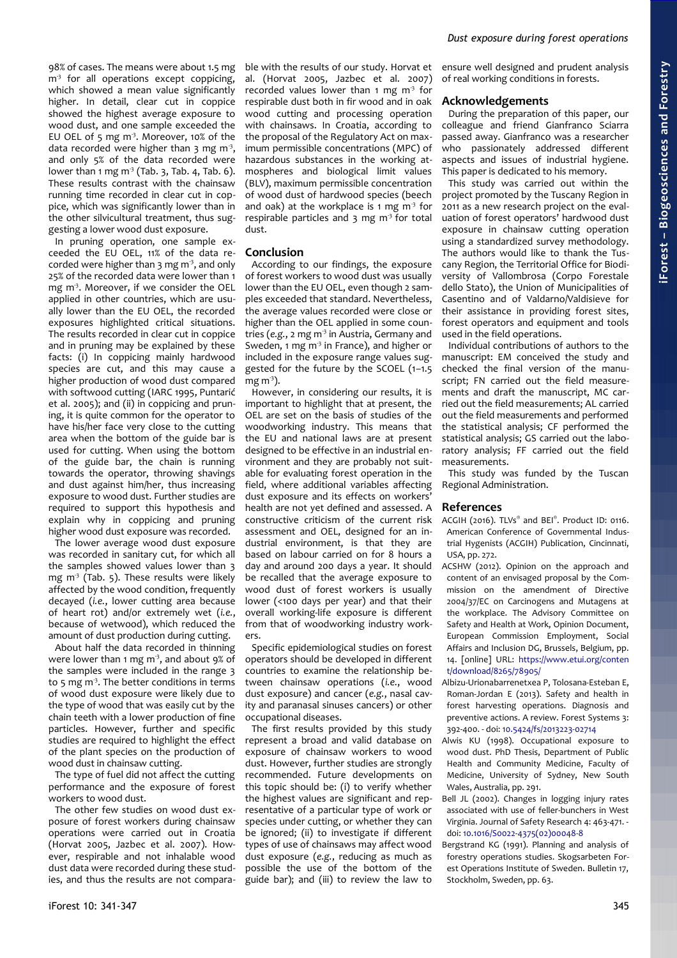98% of cases. The means were about 1.5 mg  $m<sup>3</sup>$  for all operations except coppicing, which showed a mean value significantly higher. In detail, clear cut in coppice showed the highest average exposure to wood dust, and one sample exceeded the EU OEL of 5 mg  $m<sup>3</sup>$ . Moreover, 10% of the data recorded were higher than  $3 \text{ mg m}^3$ , and only 5% of the data recorded were lower than 1 mg  $m^3$  [\(Tab. 3,](#page-3-0) [Tab. 4,](#page-3-3) [Tab. 6\)](#page-3-1). These results contrast with the chainsaw running time recorded in clear cut in coppice, which was significantly lower than in the other silvicultural treatment, thus suggesting a lower wood dust exposure.

In pruning operation, one sample exceeded the EU OEL, 11% of the data recorded were higher than  $3 \text{ mg m}^3$ , and only 25% of the recorded data were lower than 1 mg m<sup>3</sup>. Moreover, if we consider the OEL applied in other countries, which are usually lower than the EU OEL, the recorded exposures highlighted critical situations. The results recorded in clear cut in coppice and in pruning may be explained by these facts: (i) In coppicing mainly hardwood species are cut, and this may cause a higher production of wood dust compared with softwood cutting (IARC 1995, Puntarić et al. 2005); and (ii) in coppicing and pruning, it is quite common for the operator to have his/her face very close to the cutting area when the bottom of the guide bar is used for cutting. When using the bottom of the guide bar, the chain is running towards the operator, throwing shavings and dust against him/her, thus increasing exposure to wood dust. Further studies are required to support this hypothesis and explain why in coppicing and pruning higher wood dust exposure was recorded.

The lower average wood dust exposure was recorded in sanitary cut, for which all the samples showed values lower than 3 mg  $m^3$  [\(Tab. 5\)](#page-3-2). These results were likely affected by the wood condition, frequently decayed (*i.e.*, lower cutting area because of heart rot) and/or extremely wet (*i.e.*, because of wetwood), which reduced the amount of dust production during cutting.

About half the data recorded in thinning were lower than 1 mg  $m<sup>3</sup>$ , and about 9% of the samples were included in the range 3 to 5 mg m<sup>3</sup>. The better conditions in terms of wood dust exposure were likely due to the type of wood that was easily cut by the chain teeth with a lower production of fine particles. However, further and specific studies are required to highlight the effect of the plant species on the production of wood dust in chainsaw cutting.

The type of fuel did not affect the cutting performance and the exposure of forest workers to wood dust.

The other few studies on wood dust exposure of forest workers during chainsaw operations were carried out in Croatia (Horvat 2005, Jazbec et al. 2007). However, respirable and not inhalable wood dust data were recorded during these studies, and thus the results are not comparable with the results of our study. Horvat et al. (Horvat 2005, Jazbec et al. 2007) recorded values lower than 1 mg  $m<sup>3</sup>$  for respirable dust both in fir wood and in oak wood cutting and processing operation with chainsaws. In Croatia, according to the proposal of the Regulatory Act on maximum permissible concentrations (MPC) of hazardous substances in the working atmospheres and biological limit values (BLV), maximum permissible concentration of wood dust of hardwood species (beech and oak) at the workplace is 1 mg  $m<sup>3</sup>$  for respirable particles and 3 mg  $m<sup>3</sup>$  for total dust.

## **Conclusion**

According to our findings, the exposure of forest workers to wood dust was usually lower than the EU OEL, even though 2 samples exceeded that standard. Nevertheless, the average values recorded were close or higher than the OEL applied in some countries (e.g., 2 mg m<sup>3</sup> in Austria, Germany and Sweden, 1 mg m<sup>3</sup> in France), and higher or included in the exposure range values suggested for the future by the SCOEL (1–1.5 mg m $\overline{3}$ ).

However, in considering our results, it is important to highlight that at present, the OEL are set on the basis of studies of the woodworking industry. This means that the EU and national laws are at present designed to be effective in an industrial environment and they are probably not suitable for evaluating forest operation in the field, where additional variables affecting dust exposure and its effects on workers' health are not yet defined and assessed. A constructive criticism of the current risk assessment and OEL, designed for an industrial environment, is that they are based on labour carried on for 8 hours a day and around 200 days a year. It should be recalled that the average exposure to wood dust of forest workers is usually lower (<100 days per year) and that their overall working-life exposure is different from that of woodworking industry workers.

Specific epidemiological studies on forest operators should be developed in different countries to examine the relationship between chainsaw operations (*i.e.*, wood dust exposure) and cancer (*e.g.*, nasal cavity and paranasal sinuses cancers) or other occupational diseases.

The first results provided by this study represent a broad and valid database on exposure of chainsaw workers to wood dust. However, further studies are strongly recommended. Future developments on this topic should be: (i) to verify whether the highest values are significant and representative of a particular type of work or species under cutting, or whether they can be ignored; (ii) to investigate if different types of use of chainsaws may affect wood dust exposure (*e.g.*, reducing as much as possible the use of the bottom of the guide bar); and (iii) to review the law to

ensure well designed and prudent analysis of real working conditions in forests.

#### **Acknowledgements**

During the preparation of this paper, our colleague and friend Gianfranco Sciarra passed away. Gianfranco was a researcher who passionately addressed different aspects and issues of industrial hygiene. This paper is dedicated to his memory.

This study was carried out within the project promoted by the Tuscany Region in 2011 as a new research project on the evaluation of forest operators' hardwood dust exposure in chainsaw cutting operation using a standardized survey methodology. The authors would like to thank the Tuscany Region, the Territorial Office for Biodiversity of Vallombrosa (Corpo Forestale dello Stato), the Union of Municipalities of Casentino and of Valdarno/Valdisieve for their assistance in providing forest sites, forest operators and equipment and tools used in the field operations.

Individual contributions of authors to the manuscript: EM conceived the study and checked the final version of the manuscript; FN carried out the field measurements and draft the manuscript, MC carried out the field measurements; AL carried out the field measurements and performed the statistical analysis; CF performed the statistical analysis; GS carried out the laboratory analysis; FF carried out the field measurements.

This study was funded by the Tuscan Regional Administration.

#### **References**

- ACGIH (2016). TLVs® and BEI® . Product ID: 0116. American Conference of Governmental Industrial Hygenists (ACGIH) Publication, Cincinnati, USA, pp. 272.
- ACSHW (2012). Opinion on the approach and content of an envisaged proposal by the Commission on the amendment of Directive 2004/37/EC on Carcinogens and Mutagens at the workplace. The Advisory Committee on Safety and Health at Work, Opinion Document, European Commission Employment, Social Affairs and Inclusion DG, Brussels, Belgium, pp. 14. [online] URL: [https://www.etui.org/conten](https://www.etui.org/content/download/8265/78905/file/ACSH+CMD+Opinion_Adopted+05+12+2012.pdf) [t/download/8265/78905/](https://www.etui.org/content/download/8265/78905/file/ACSH+CMD+Opinion_Adopted+05+12+2012.pdf)
- Albizu-Urionabarrenetxea P, Tolosana-Esteban E, Roman-Jordan E (2013). Safety and health in forest harvesting operations. Diagnosis and preventive actions. A review. Forest Systems 3: 392-400. - doi: [10.5424/fs/2013223-02714](http://dx.doi.org/10.5424/fs/2013223-02714)
- Alwis KU (1998). Occupational exposure to wood dust. PhD Thesis, Department of Public Health and Community Medicine, Faculty of Medicine, University of Sydney, New South Wales, Australia, pp. 291.
- Bell JL (2002). Changes in logging injury rates associated with use of feller-bunchers in West Virginia. Journal of Safety Research 4: 463-471. doi: [10.1016/S0022-4375\(02\)00048-8](http://dx.doi.org/10.1016/S0022-4375(02)00048-8)
- Bergstrand KG (1991). Planning and analysis of forestry operations studies. Skogsarbeten Forest Operations Institute of Sweden. Bulletin 17, Stockholm, Sweden, pp. 63.

**iForest –**

**Bio geoscie**

**nces a nd Forestry**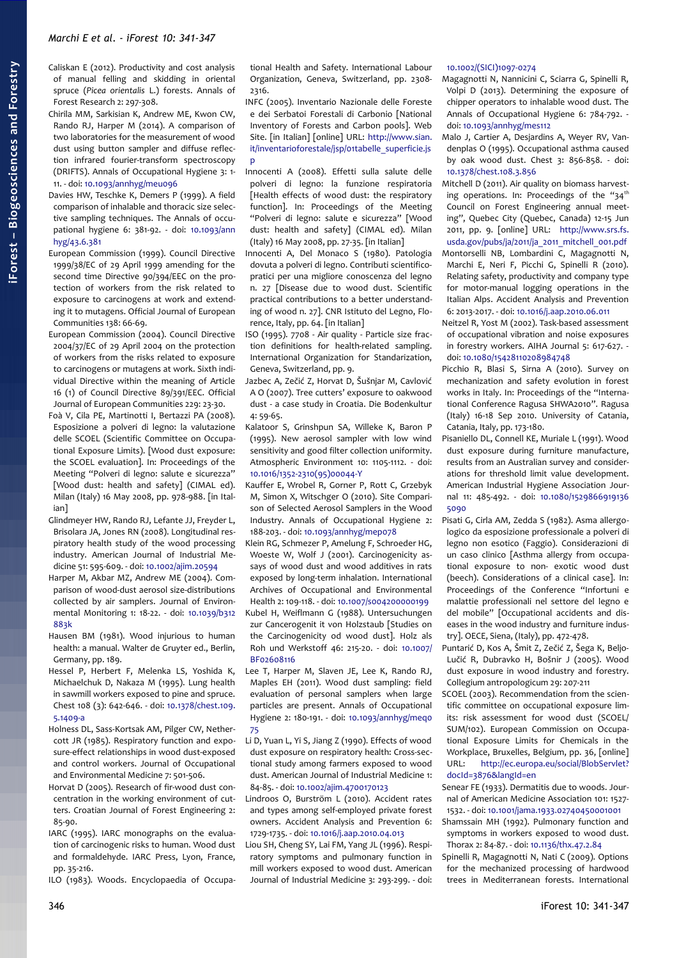Caliskan E (2012). Productivity and cost analysis of manual felling and skidding in oriental spruce (*Picea orientalis* L.) forests. Annals of Forest Research 2: 297-308.

Chirila MM, Sarkisian K, Andrew ME, Kwon CW, Rando RJ, Harper M (2014). A comparison of two laboratories for the measurement of wood dust using button sampler and diffuse reflection infrared fourier-transform spectroscopy (DRIFTS). Annals of Occupational Hygiene 3: 1- 11. - doi: [10.1093/annhyg/meu096](http://dx.doi.org/10.1093/annhyg/meu096)

Davies HW, Teschke K, Demers P (1999). A field comparison of inhalable and thoracic size selective sampling techniques. The Annals of occupational hygiene 6: 381-92. - doi: [10.1093/ann](http://dx.doi.org/10.1093/annhyg/43.6.381) [hyg/43.6.381](http://dx.doi.org/10.1093/annhyg/43.6.381)

- European Commission (1999). Council Directive 1999/38/EC of 29 April 1999 amending for the second time Directive 90/394/EEC on the protection of workers from the risk related to exposure to carcinogens at work and extending it to mutagens. Official Journal of European Communities 138: 66-69.
- European Commission (2004). Council Directive 2004/37/EC of 29 April 2004 on the protection of workers from the risks related to exposure to carcinogens or mutagens at work. Sixth individual Directive within the meaning of Article 16 (1) of Council Directive 89/391/EEC. Official Journal of European Communities 229: 23-30.
- Foà V, Cila PE, Martinotti I, Bertazzi PA (2008). Esposizione a polveri di legno: la valutazione delle SCOEL (Scientific Committee on Occupational Exposure Limits). [Wood dust exposure: the SCOEL evaluation]. In: Proceedings of the Meeting "Polveri di legno: salute e sicurezza" [Wood dust: health and safety] (CIMAL ed). Milan (Italy) 16 May 2008, pp. 978-988. [in Italian]
- Glindmeyer HW, Rando RJ, Lefante JJ, Freyder L, Brisolara JA, Jones RN (2008). Longitudinal respiratory health study of the wood processing industry. American Journal of Industrial Medicine 51: 595-609. - doi: [10.1002/ajim.20594](http://dx.doi.org/10.1002/ajim.20594)
- Harper M, Akbar MZ, Andrew ME (2004). Comparison of wood-dust aerosol size-distributions collected by air samplers. Journal of Environmental Monitoring 1: 18-22. - doi: [10.1039/b312](http://dx.doi.org/10.1039/b312883k) [883k](http://dx.doi.org/10.1039/b312883k)
- Hausen BM (1981). Wood injurious to human health: a manual. Walter de Gruyter ed., Berlin, Germany, pp. 189.
- Hessel P, Herbert F, Melenka LS, Yoshida K, Michaelchuk D, Nakaza M (1995). Lung health in sawmill workers exposed to pine and spruce. Chest 108 (3): 642-646. - doi: [10.1378/chest.109.](http://dx.doi.org/10.1378/chest.109.5.1409-a) [5.1409-a](http://dx.doi.org/10.1378/chest.109.5.1409-a)
- Holness DL, Sass-Kortsak AM, Pilger CW, Nethercott JR (1985). Respiratory function and exposure-effect relationships in wood dust-exposed and control workers. Journal of Occupational and Environmental Medicine 7: 501-506.
- Horvat D (2005). Research of fir-wood dust concentration in the working environment of cutters. Croatian Journal of Forest Engineering 2: 85-90.
- IARC (1995). IARC monographs on the evaluation of carcinogenic risks to human. Wood dust and formaldehyde. IARC Press, Lyon, France, pp. 35-216.

ILO (1983). Woods. Encyclopaedia of Occupa-

tional Health and Safety. International Labour Organization, Geneva, Switzerland, pp. 2308- 2316.

INFC (2005). Inventario Nazionale delle Foreste e dei Serbatoi Forestali di Carbonio [National Inventory of Forests and Carbon pools]. Web Site. [in Italian] [online] URL: [http://www.sian.](http://www.sian.it/inventarioforestale/jsp/01tabelle_superficie.jsp) it/inventarioforestale/jsp/o1tabelle\_superficie.js [p](http://www.sian.it/inventarioforestale/jsp/01tabelle_superficie.jsp)

Innocenti A (2008). Effetti sulla salute delle polveri di legno: la funzione respiratoria [Health effects of wood dust: the respiratory function]. In: Proceedings of the Meeting "Polveri di legno: salute e sicurezza" [Wood dust: health and safety] (CIMAL ed). Milan (Italy) 16 May 2008, pp. 27-35. [in Italian]

Innocenti A, Del Monaco S (1980). Patologia dovuta a polveri di legno. Contributi scientificopratici per una migliore conoscenza del legno n. 27 [Disease due to wood dust. Scientific practical contributions to a better understanding of wood n. 27]. CNR Istituto del Legno, Florence, Italy, pp. 64. [in Italian]

ISO (1995). 7708 - Air quality - Particle size fraction definitions for health-related sampling. International Organization for Standarization, Geneva, Switzerland, pp. 9.

- Jazbec A, Zečić Z, Horvat D, Šušnjar M, Cavlović A O (2007). Tree cutters' exposure to oakwood dust - a case study in Croatia. Die Bodenkultur 4: 59-65.
- Kalatoor S, Grinshpun SA, Willeke K, Baron P (1995). New aerosol sampler with low wind sensitivity and good filter collection uniformity. Atmospheric Environment 10: 1105-1112. - doi: [10.1016/1352-2310\(95\)00044-Y](http://dx.doi.org/10.1016/1352-2310(95)00044-Y)

Kauffer E, Wrobel R, Gorner P, Rott C, Grzebyk M, Simon X, Witschger O (2010). Site Comparison of Selected Aerosol Samplers in the Wood Industry. Annals of Occupational Hygiene 2: 188-203. - doi: [10.1093/annhyg/mep078](http://dx.doi.org/10.1093/annhyg/mep078)

Klein RG, Schmezer P, Amelung F, Schroeder HG, Woeste W, Wolf J (2001). Carcinogenicity assays of wood dust and wood additives in rats exposed by long-term inhalation. International Archives of Occupational and Environmental Health 2: 109-118. - doi: [10.1007/s004200000199](http://dx.doi.org/10.1007/s004200000199) Kubel H, Weiflmann G (1988). Untersuchungen zur Cancerogenit it von Holzstaub [Studies on the Carcinogenicity od wood dust]. Holz als Roh und Werkstoff 46: 215-20. - doi: [10.1007/](http://dx.doi.org/10.1007/BF02608116) [BF02608116](http://dx.doi.org/10.1007/BF02608116)

- Lee T, Harper M, Slaven JE, Lee K, Rando RJ, Maples EH (2011). Wood dust sampling: field evaluation of personal samplers when large particles are present. Annals of Occupational Hygiene 2: 180-191. - doi: [10.1093/annhyg/meq0](http://dx.doi.org/10.1093/annhyg/meq075) [75](http://dx.doi.org/10.1093/annhyg/meq075)
- Li D, Yuan L, Yi S, Jiang Z (1990). Effects of wood dust exposure on respiratory health: Cross-sectional study among farmers exposed to wood dust. American Journal of Industrial Medicine 1: 84-85. - doi: [10.1002/ajim.4700170123](http://dx.doi.org/10.1002/ajim.4700170123)

Lindroos O, Burström L (2010). Accident rates and types among self-employed private forest owners. Accident Analysis and Prevention 6: 1729-1735. - doi: [10.1016/j.aap.2010.04.013](http://dx.doi.org/10.1016/j.aap.2010.04.013)

Liou SH, Cheng SY, Lai FM, Yang JL (1996). Respiratory symptoms and pulmonary function in mill workers exposed to wood dust. American Journal of Industrial Medicine 3: 293-299. - doi:

## [10.1002/\(SICI\)1097-0274](http://dx.doi.org/10.1002/(SICI)1097-0274)

Magagnotti N, Nannicini C, Sciarra G, Spinelli R, Volpi D (2013). Determining the exposure of chipper operators to inhalable wood dust. The Annals of Occupational Hygiene 6: 784-792. doi: [10.1093/annhyg/mes112](http://dx.doi.org/10.1093/annhyg/mes112)

Malo J, Cartier A, Desjardins A, Weyer RV, Vandenplas O (1995). Occupational asthma caused by oak wood dust. Chest 3: 856-858. - doi: [10.1378/chest.108.3.856](http://dx.doi.org/10.1378/chest.108.3.856)

- Mitchell D (2011). Air quality on biomass harvesting operations. In: Proceedings of the "34<sup>th</sup> Council on Forest Engineering annual meeting", Quebec City (Quebec, Canada) 12-15 Jun 2011, pp. 9. [online] URL: [http://www.srs.fs.](http://www.srs.fs.usda.gov/pubs/ja/2011/ja_2011_mitchell_001.pdf) [usda.gov/pubs/ja/2011/ja\\_2011\\_mitchell\\_001.pdf](http://www.srs.fs.usda.gov/pubs/ja/2011/ja_2011_mitchell_001.pdf)
- Montorselli NB, Lombardini C, Magagnotti N, Marchi E, Neri F, Picchi G, Spinelli R (2010). Relating safety, productivity and company type for motor-manual logging operations in the Italian Alps. Accident Analysis and Prevention 6: 2013-2017. - doi: [10.1016/j.aap.2010.06.011](http://dx.doi.org/10.1016/j.aap.2010.06.011)
- Neitzel R, Yost M (2002). Task-based assessment of occupational vibration and noise exposures in forestry workers. AIHA Journal 5: 617-627. doi: [10.1080/15428110208984748](http://dx.doi.org/10.1080/15428110208984748)
- Picchio R, Blasi S, Sirna A (2010). Survey on mechanization and safety evolution in forest works in Italy. In: Proceedings of the "International Conference Ragusa SHWA2010". Ragusa (Italy) 16-18 Sep 2010. University of Catania, Catania, Italy, pp. 173-180.
- Pisaniello DL, Connell KE, Muriale L (1991). Wood dust exposure during furniture manufacture, results from an Australian survey and considerations for threshold limit value development. American Industrial Hygiene Association Journal 11: 485-492. - doi: [10.1080/1529866919136](http://dx.doi.org/10.1080/15298669191365090) [5090](http://dx.doi.org/10.1080/15298669191365090)
- Pisati G, Cirla AM, Zedda S (1982). Asma allergologico da esposizione professionale a polveri di legno non esotico (Faggio). Considerazioni di un caso clinico [Asthma allergy from occupational exposure to non- exotic wood dust (beech). Considerations of a clinical case]. In: Proceedings of the Conference "Infortuni e malattie professionali nel settore del legno e del mobile" [Occupational accidents and diseases in the wood industry and furniture industry]. OECE, Siena, (Italy), pp. 472-478.
- Puntarić D, Kos A, Šmit Z, Zečić Z, Šega K, Beljo-Lučić R, Dubravko H, Bošnir J (2005). Wood dust exposure in wood industry and forestry. Collegium antropologicum 29: 207-211
- SCOEL (2003). Recommendation from the scientific committee on occupational exposure limits: risk assessment for wood dust (SCOEL/ SUM/102). European Commission on Occupational Exposure Limits for Chemicals in the Workplace, Bruxelles, Belgium, pp. 36, [online] URL: [http://ec.europa.eu/social/BlobServlet?](http://ec.europa.eu/social/BlobServlet?docId=3876&langId=en) [docId=3876&langId=en](http://ec.europa.eu/social/BlobServlet?docId=3876&langId=en)
- Senear FE (1933). Dermatitis due to woods. Journal of American Medicine Association 101: 1527- 1532. - doi: [10.1001/jama.1933.02740450001001](http://dx.doi.org/10.1001/jama.1933.02740450001001)
- Shamssain MH (1992). Pulmonary function and symptoms in workers exposed to wood dust. Thorax 2: 84-87. - doi: [10.1136/thx.47.2.84](http://dx.doi.org/10.1136/thx.47.2.84)

Spinelli R, Magagnotti N, Nati C (2009). Options for the mechanized processing of hardwood trees in Mediterranean forests. International